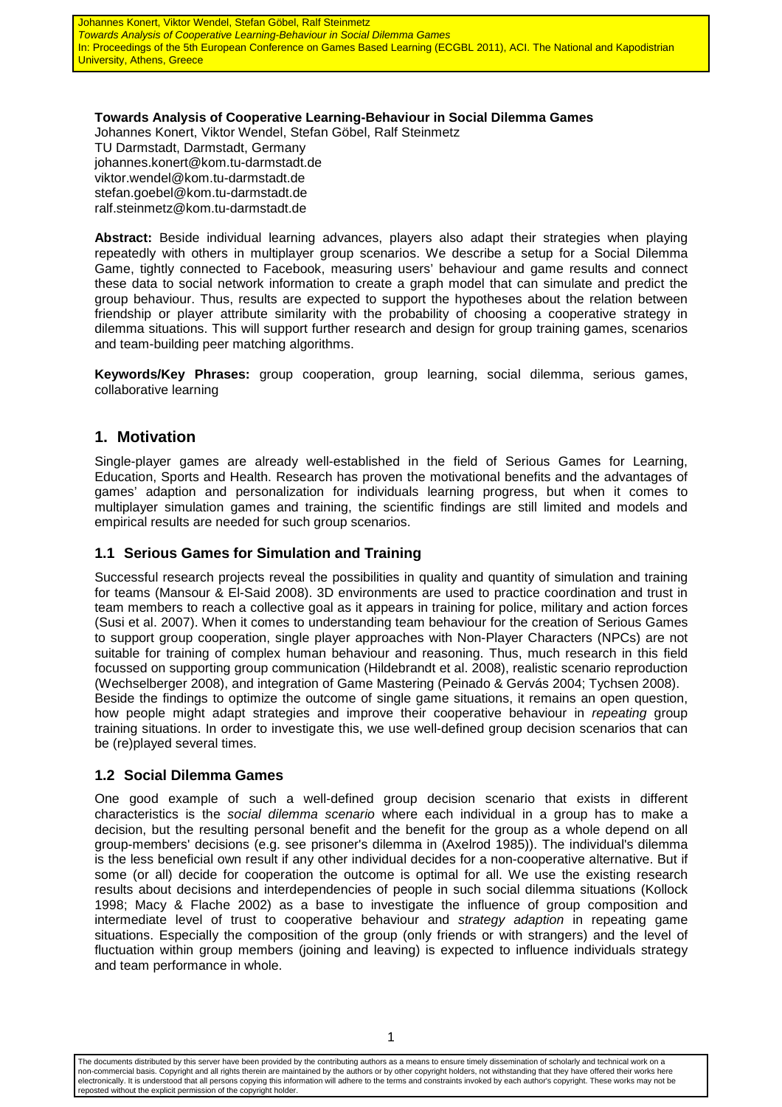**Towards Analysis of Cooperative Learning-Behaviour in Social Dilemma Games**  Johannes Konert, Viktor Wendel, Stefan Göbel, Ralf Steinmetz TU Darmstadt, Darmstadt, Germany johannes.konert@kom.tu-darmstadt.de viktor.wendel@kom.tu-darmstadt.de stefan.goebel@kom.tu-darmstadt.de ralf.steinmetz@kom.tu-darmstadt.de

**Abstract:** Beside individual learning advances, players also adapt their strategies when playing repeatedly with others in multiplayer group scenarios. We describe a setup for a Social Dilemma Game, tightly connected to Facebook, measuring users' behaviour and game results and connect these data to social network information to create a graph model that can simulate and predict the group behaviour. Thus, results are expected to support the hypotheses about the relation between friendship or player attribute similarity with the probability of choosing a cooperative strategy in dilemma situations. This will support further research and design for group training games, scenarios and team-building peer matching algorithms.

**Keywords/Key Phrases:** group cooperation, group learning, social dilemma, serious games, collaborative learning

#### **1. Motivation**

Single-player games are already well-established in the field of Serious Games for Learning, Education, Sports and Health. Research has proven the motivational benefits and the advantages of games' adaption and personalization for individuals learning progress, but when it comes to multiplayer simulation games and training, the scientific findings are still limited and models and empirical results are needed for such group scenarios.

#### **1.1 Serious Games for Simulation and Training**

Successful research projects reveal the possibilities in quality and quantity of simulation and training for teams (Mansour & El-Said 2008). 3D environments are used to practice coordination and trust in team members to reach a collective goal as it appears in training for police, military and action forces (Susi et al. 2007). When it comes to understanding team behaviour for the creation of Serious Games to support group cooperation, single player approaches with Non-Player Characters (NPCs) are not suitable for training of complex human behaviour and reasoning. Thus, much research in this field focussed on supporting group communication (Hildebrandt et al. 2008), realistic scenario reproduction (Wechselberger 2008), and integration of Game Mastering (Peinado & Gervás 2004; Tychsen 2008). Beside the findings to optimize the outcome of single game situations, it remains an open question, how people might adapt strategies and improve their cooperative behaviour in repeating group training situations. In order to investigate this, we use well-defined group decision scenarios that can be (re)played several times.

#### **1.2 Social Dilemma Games**

One good example of such a well-defined group decision scenario that exists in different characteristics is the *social dilemma scenario* where each individual in a group has to make a decision, but the resulting personal benefit and the benefit for the group as a whole depend on all group-members' decisions (e.g. see prisoner's dilemma in (Axelrod 1985)). The individual's dilemma is the less beneficial own result if any other individual decides for a non-cooperative alternative. But if some (or all) decide for cooperation the outcome is optimal for all. We use the existing research results about decisions and interdependencies of people in such social dilemma situations (Kollock 1998; Macy & Flache 2002) as a base to investigate the influence of group composition and intermediate level of trust to cooperative behaviour and strategy adaption in repeating game situations. Especially the composition of the group (only friends or with strangers) and the level of fluctuation within group members (joining and leaving) is expected to influence individuals strategy and team performance in whole.

The documents distributed by this server have been provided by the contributing authors as a means to ensure timely dissemination of scholarly and technical work on a non-commercial basis. Copyright and all rights therein are maintained by the authors or by other copyright holders, not withstanding that they have offered their works here electronically. It is understood that all persons copying this information will adhere to the terms and constraints invoked by each author's copyright. These works may not be reposted without the explicit permission of the copyright holder.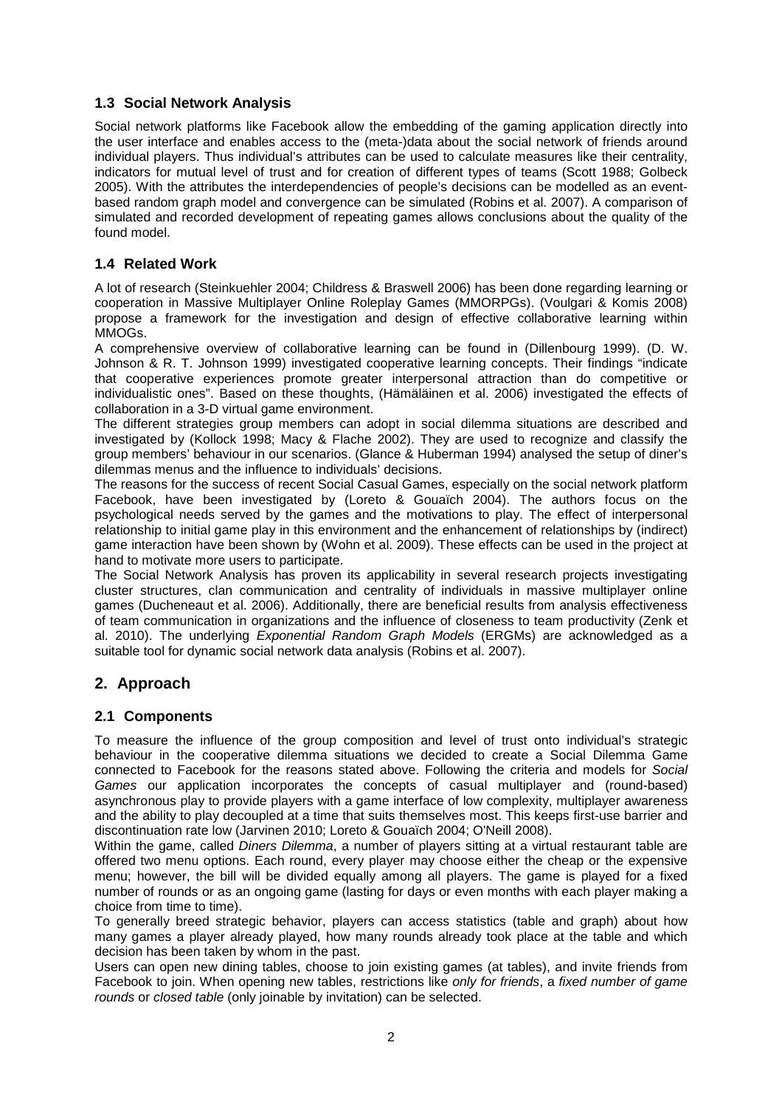#### **1.3 Social Network Analysis**

Social network platforms like Facebook allow the embedding of the gaming application directly into the user interface and enables access to the (meta-)data about the social network of friends around individual players. Thus individual's attributes can be used to calculate measures like their centrality, indicators for mutual level of trust and for creation of different types of teams (Scott 1988; Golbeck 2005). With the attributes the interdependencies of people's decisions can be modelled as an eventbased random graph model and convergence can be simulated (Robins et al. 2007). A comparison of simulated and recorded development of repeating games allows conclusions about the quality of the found model.

#### **1.4 Related Work**

A lot of research (Steinkuehler 2004; Childress & Braswell 2006) has been done regarding learning or cooperation in Massive Multiplayer Online Roleplay Games (MMORPGs). (Voulgari & Komis 2008) propose a framework for the investigation and design of effective collaborative learning within MMOGs.

A comprehensive overview of collaborative learning can be found in (Dillenbourg 1999). (D. W. Johnson & R. T. Johnson 1999) investigated cooperative learning concepts. Their findings "indicate that cooperative experiences promote greater interpersonal attraction than do competitive or individualistic ones". Based on these thoughts, (Hämäläinen et al. 2006) investigated the effects of collaboration in a 3-D virtual game environment.

The different strategies group members can adopt in social dilemma situations are described and investigated by (Kollock 1998; Macy & Flache 2002). They are used to recognize and classify the group members' behaviour in our scenarios. (Glance & Huberman 1994) analysed the setup of diner's dilemmas menus and the influence to individuals' decisions.

The reasons for the success of recent Social Casual Games, especially on the social network platform Facebook, have been investigated by (Loreto & Gouaïch 2004). The authors focus on the psychological needs served by the games and the motivations to play. The effect of interpersonal relationship to initial game play in this environment and the enhancement of relationships by (indirect) game interaction have been shown by (Wohn et al. 2009). These effects can be used in the project at hand to motivate more users to participate.

The Social Network Analysis has proven its applicability in several research projects investigating cluster structures, clan communication and centrality of individuals in massive multiplayer online games (Ducheneaut et al. 2006). Additionally, there are beneficial results from analysis effectiveness of team communication in organizations and the influence of closeness to team productivity (Zenk et al. 2010). The underlying Exponential Random Graph Models (ERGMs) are acknowledged as a suitable tool for dynamic social network data analysis (Robins et al. 2007).

#### **2. Approach**

#### **2.1 Components**

To measure the influence of the group composition and level of trust onto individual's strategic behaviour in the cooperative dilemma situations we decided to create a Social Dilemma Game connected to Facebook for the reasons stated above. Following the criteria and models for Social Games our application incorporates the concepts of casual multiplayer and (round-based) asynchronous play to provide players with a game interface of low complexity, multiplayer awareness and the ability to play decoupled at a time that suits themselves most. This keeps first-use barrier and discontinuation rate low (Jarvinen 2010; Loreto & Gouaïch 2004; O'Neill 2008).

Within the game, called *Diners Dilemma*, a number of players sitting at a virtual restaurant table are offered two menu options. Each round, every player may choose either the cheap or the expensive menu; however, the bill will be divided equally among all players. The game is played for a fixed number of rounds or as an ongoing game (lasting for days or even months with each player making a choice from time to time).

To generally breed strategic behavior, players can access statistics (table and graph) about how many games a player already played, how many rounds already took place at the table and which decision has been taken by whom in the past.

Users can open new dining tables, choose to join existing games (at tables), and invite friends from Facebook to join. When opening new tables, restrictions like only for friends, a fixed number of game rounds or closed table (only joinable by invitation) can be selected.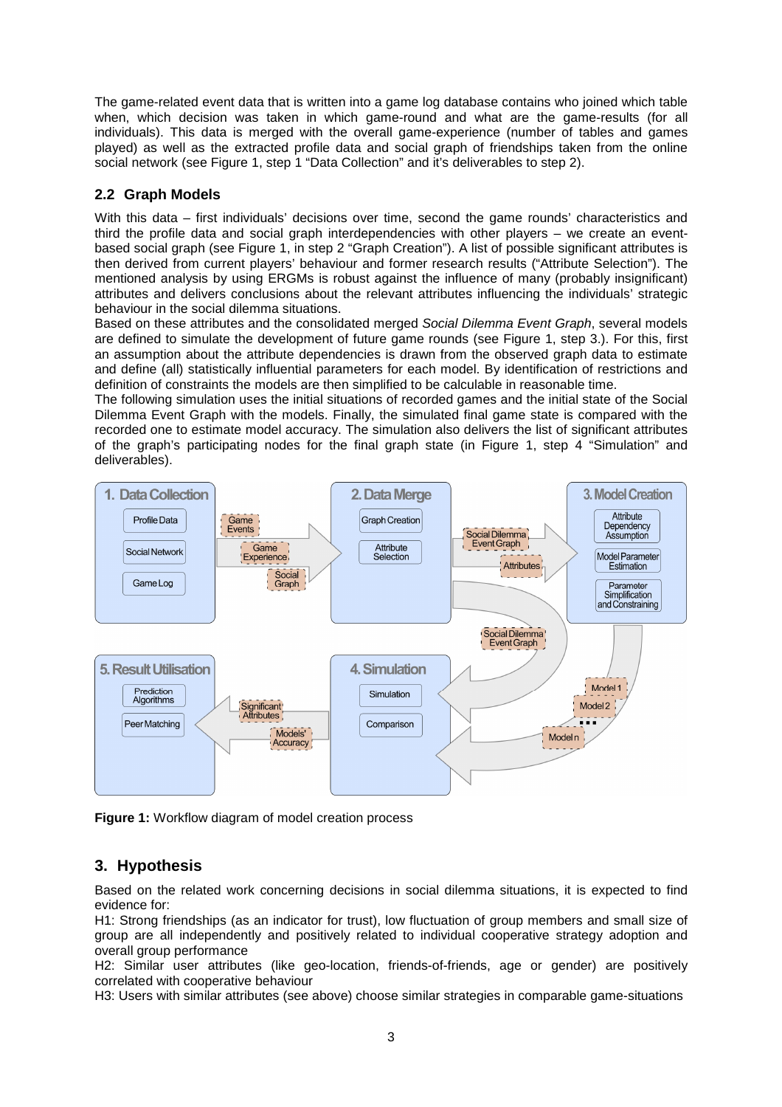The game-related event data that is written into a game log database contains who joined which table when, which decision was taken in which game-round and what are the game-results (for all individuals). This data is merged with the overall game-experience (number of tables and games played) as well as the extracted profile data and social graph of friendships taken from the online social network (see Figure 1, step 1 "Data Collection" and it's deliverables to step 2).

#### **2.2 Graph Models**

With this data – first individuals' decisions over time, second the game rounds' characteristics and third the profile data and social graph interdependencies with other players – we create an eventbased social graph (see Figure 1, in step 2 "Graph Creation"). A list of possible significant attributes is then derived from current players' behaviour and former research results ("Attribute Selection"). The mentioned analysis by using ERGMs is robust against the influence of many (probably insignificant) attributes and delivers conclusions about the relevant attributes influencing the individuals' strategic behaviour in the social dilemma situations.

Based on these attributes and the consolidated merged Social Dilemma Event Graph, several models are defined to simulate the development of future game rounds (see Figure 1, step 3.). For this, first an assumption about the attribute dependencies is drawn from the observed graph data to estimate and define (all) statistically influential parameters for each model. By identification of restrictions and definition of constraints the models are then simplified to be calculable in reasonable time.

The following simulation uses the initial situations of recorded games and the initial state of the Social Dilemma Event Graph with the models. Finally, the simulated final game state is compared with the recorded one to estimate model accuracy. The simulation also delivers the list of significant attributes of the graph's participating nodes for the final graph state (in Figure 1, step 4 "Simulation" and deliverables).



**Figure 1:** Workflow diagram of model creation process

#### **3. Hypothesis**

Based on the related work concerning decisions in social dilemma situations, it is expected to find evidence for:

H1: Strong friendships (as an indicator for trust), low fluctuation of group members and small size of group are all independently and positively related to individual cooperative strategy adoption and overall group performance

H2: Similar user attributes (like geo-location, friends-of-friends, age or gender) are positively correlated with cooperative behaviour

H3: Users with similar attributes (see above) choose similar strategies in comparable game-situations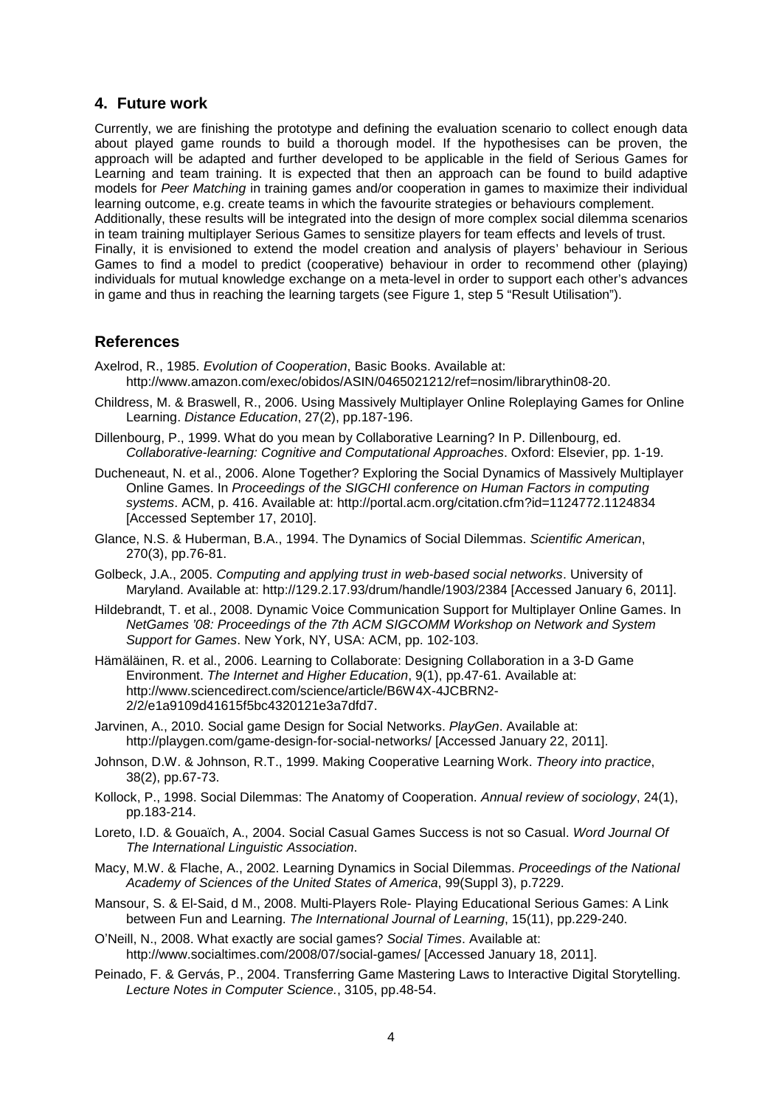#### **4. Future work**

Currently, we are finishing the prototype and defining the evaluation scenario to collect enough data about played game rounds to build a thorough model. If the hypothesises can be proven, the approach will be adapted and further developed to be applicable in the field of Serious Games for Learning and team training. It is expected that then an approach can be found to build adaptive models for Peer Matching in training games and/or cooperation in games to maximize their individual learning outcome, e.g. create teams in which the favourite strategies or behaviours complement. Additionally, these results will be integrated into the design of more complex social dilemma scenarios in team training multiplayer Serious Games to sensitize players for team effects and levels of trust. Finally, it is envisioned to extend the model creation and analysis of players' behaviour in Serious Games to find a model to predict (cooperative) behaviour in order to recommend other (playing) individuals for mutual knowledge exchange on a meta-level in order to support each other's advances in game and thus in reaching the learning targets (see Figure 1, step 5 "Result Utilisation").

#### **References**

- Axelrod, R., 1985. Evolution of Cooperation, Basic Books, Available at: http://www.amazon.com/exec/obidos/ASIN/0465021212/ref=nosim/librarythin08-20.
- Childress, M. & Braswell, R., 2006. Using Massively Multiplayer Online Roleplaying Games for Online Learning. Distance Education, 27(2), pp.187-196.
- Dillenbourg, P., 1999. What do you mean by Collaborative Learning? In P. Dillenbourg, ed. Collaborative-learning: Cognitive and Computational Approaches. Oxford: Elsevier, pp. 1-19.
- Ducheneaut, N. et al., 2006. Alone Together? Exploring the Social Dynamics of Massively Multiplayer Online Games. In Proceedings of the SIGCHI conference on Human Factors in computing systems. ACM, p. 416. Available at: http://portal.acm.org/citation.cfm?id=1124772.1124834 [Accessed September 17, 2010].
- Glance, N.S. & Huberman, B.A., 1994. The Dynamics of Social Dilemmas. Scientific American, 270(3), pp.76-81.
- Golbeck, J.A., 2005. Computing and applying trust in web-based social networks. University of Maryland. Available at: http://129.2.17.93/drum/handle/1903/2384 [Accessed January 6, 2011].
- Hildebrandt, T. et al., 2008. Dynamic Voice Communication Support for Multiplayer Online Games. In NetGames '08: Proceedings of the 7th ACM SIGCOMM Workshop on Network and System Support for Games. New York, NY, USA: ACM, pp. 102-103.
- Hämäläinen, R. et al., 2006. Learning to Collaborate: Designing Collaboration in a 3-D Game Environment. The Internet and Higher Education, 9(1), pp.47-61. Available at: http://www.sciencedirect.com/science/article/B6W4X-4JCBRN2- 2/2/e1a9109d41615f5bc4320121e3a7dfd7.
- Jarvinen, A., 2010. Social game Design for Social Networks. PlayGen. Available at: http://playgen.com/game-design-for-social-networks/ [Accessed January 22, 2011].
- Johnson, D.W. & Johnson, R.T., 1999. Making Cooperative Learning Work. Theory into practice, 38(2), pp.67-73.
- Kollock, P., 1998. Social Dilemmas: The Anatomy of Cooperation. Annual review of sociology, 24(1), pp.183-214.
- Loreto, I.D. & Gouaïch, A., 2004. Social Casual Games Success is not so Casual. Word Journal Of The International Linguistic Association.
- Macy, M.W. & Flache, A., 2002. Learning Dynamics in Social Dilemmas. Proceedings of the National Academy of Sciences of the United States of America, 99(Suppl 3), p.7229.
- Mansour, S. & El-Said, d M., 2008. Multi-Players Role- Playing Educational Serious Games: A Link between Fun and Learning. The International Journal of Learning, 15(11), pp.229-240.
- O'Neill, N., 2008. What exactly are social games? Social Times. Available at: http://www.socialtimes.com/2008/07/social-games/ [Accessed January 18, 2011].
- Peinado, F. & Gervás, P., 2004. Transferring Game Mastering Laws to Interactive Digital Storytelling. Lecture Notes in Computer Science., 3105, pp.48-54.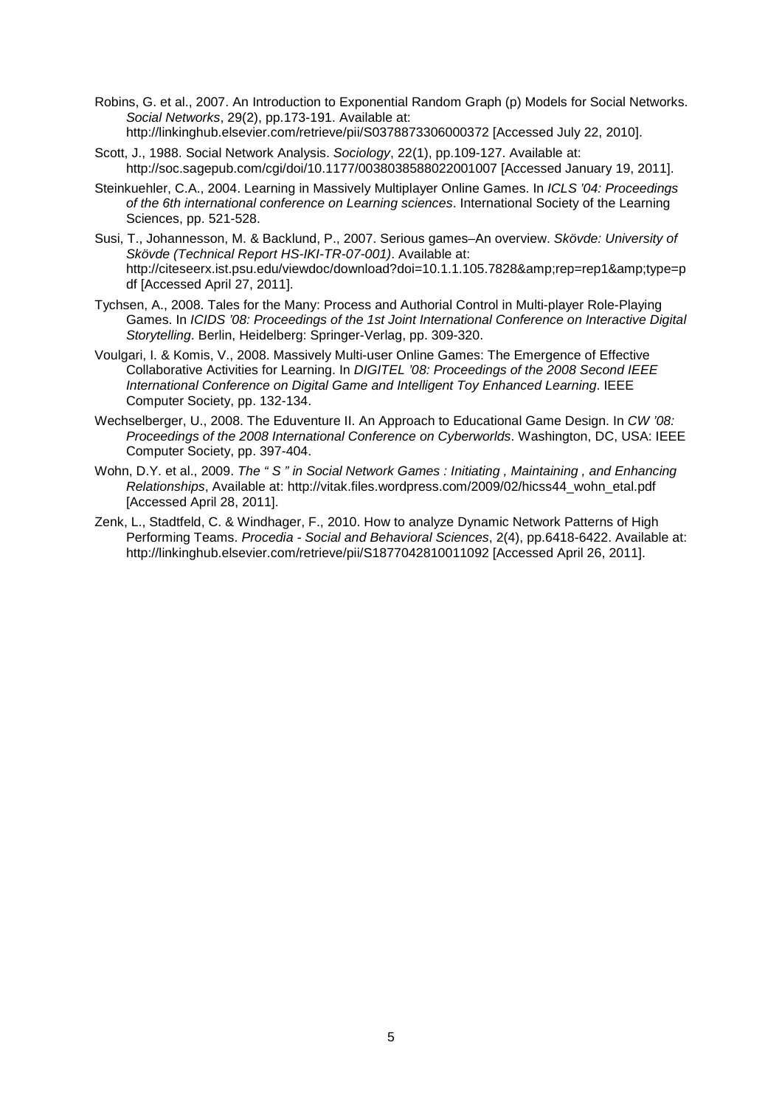- Robins, G. et al., 2007. An Introduction to Exponential Random Graph (p) Models for Social Networks. Social Networks, 29(2), pp.173-191. Available at: http://linkinghub.elsevier.com/retrieve/pii/S0378873306000372 [Accessed July 22, 2010].
- Scott, J., 1988. Social Network Analysis. Sociology, 22(1), pp.109-127. Available at: http://soc.sagepub.com/cgi/doi/10.1177/0038038588022001007 [Accessed January 19, 2011].
- Steinkuehler, C.A., 2004. Learning in Massively Multiplayer Online Games. In ICLS '04: Proceedings of the 6th international conference on Learning sciences. International Society of the Learning Sciences, pp. 521-528.
- Susi, T., Johannesson, M. & Backlund, P., 2007. Serious games–An overview. Skövde: University of Skövde (Technical Report HS-IKI-TR-07-001). Available at: http://citeseerx.ist.psu.edu/viewdoc/download?doi=10.1.1.105.7828&rep=rep1&type=p df [Accessed April 27, 2011].
- Tychsen, A., 2008. Tales for the Many: Process and Authorial Control in Multi-player Role-Playing Games. In ICIDS '08: Proceedings of the 1st Joint International Conference on Interactive Digital Storytelling. Berlin, Heidelberg: Springer-Verlag, pp. 309-320.
- Voulgari, I. & Komis, V., 2008. Massively Multi-user Online Games: The Emergence of Effective Collaborative Activities for Learning. In DIGITEL '08: Proceedings of the 2008 Second IEEE International Conference on Digital Game and Intelligent Toy Enhanced Learning. IEEE Computer Society, pp. 132-134.
- Wechselberger, U., 2008. The Eduventure II. An Approach to Educational Game Design. In CW '08: Proceedings of the 2008 International Conference on Cyberworlds. Washington, DC, USA: IEEE Computer Society, pp. 397-404.
- Wohn, D.Y. et al., 2009. The "S" in Social Network Games : Initiating , Maintaining , and Enhancing Relationships, Available at: http://vitak.files.wordpress.com/2009/02/hicss44\_wohn\_etal.pdf [Accessed April 28, 2011].
- Zenk, L., Stadtfeld, C. & Windhager, F., 2010. How to analyze Dynamic Network Patterns of High Performing Teams. Procedia - Social and Behavioral Sciences, 2(4), pp.6418-6422. Available at: http://linkinghub.elsevier.com/retrieve/pii/S1877042810011092 [Accessed April 26, 2011].